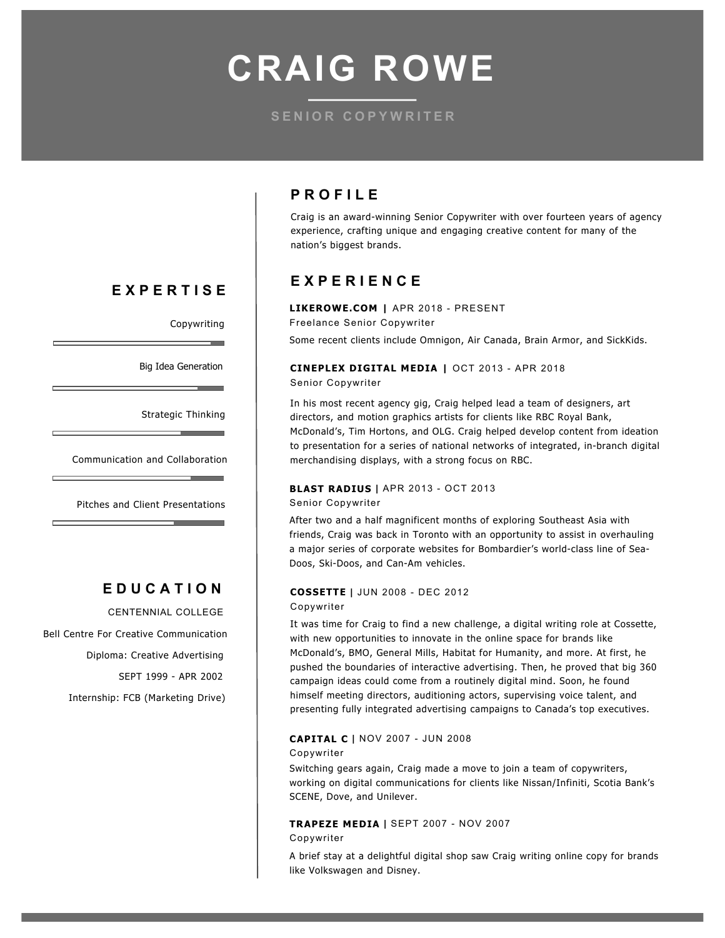**CRAIG ROWE**

## **SENIOR COPYWRITER**

## **EXPERTISE**

Copywriting

 $\sim$ 

Big Idea Generation

Strategic Thinking and Problem Solving

and the control of the control of

Communication and Collaboration

Pitches and Client Presentations

## **EDUCATION**

CENTENNIAL COLLEGE 

Bell Centre For Creative Communication Diploma: Creative Advertising

SEPT 1999 - APR 2002

Internship: FCB (Marketing Drive)

## **PROFILE**

Craig is an award-winning Senior Copywriter with over fourteen years of agency experience, crafting unique and engaging creative content for many of the nation's biggest brands.

## **EXPERIENCE**

**LIKEROWE.COM |** APR 2018 - PRESENT Freelance Senior Copywriter Some recent clients include Omnigon, Air Canada, Brain Armor, and SickKids.

#### **CINEPLEX DIGITAL MEDIA |** OCT 2013 - APR 2018 Senior Copywriter

In his most recent agency gig, Craig helped lead a team of designers, art directors, and motion graphics artists for clients like RBC Royal Bank, McDonald's, Tim Hortons, and OLG. Craig helped develop content from ideation to presentation for a series of national networks of integrated, in-branch digital merchandising displays, with a strong focus on RBC.

## **BLAST RADIUS |** APR 2013 - OCT 2013

Senior Copywriter

After two and a half magnificent months of exploring Southeast Asia with friends, Craig was back in Toronto with an opportunity to assist in overhauling a major series of corporate websites for Bombardier's world-class line of Sea-Doos, Ski-Doos, and Can-Am vehicles.

#### **COSSETTE |** JUN 2008 - DEC 2012

#### Copywriter

It was time for Craig to find a new challenge, a digital writing role at Cossette, with new opportunities to innovate in the online space for brands like McDonald's, BMO, General Mills, Habitat for Humanity, and more. At first, he pushed the boundaries of interactive advertising. Then, he proved that big 360 campaign ideas could come from a routinely digital mind. Soon, he found himself meeting directors, auditioning actors, supervising voice talent, and presenting fully integrated advertising campaigns to Canada's top executives.

#### **CAPITAL C |** NOV 2007 - JUN 2008 Copywriter

Switching gears again, Craig made a move to join a team of copywriters, working on digital communications for clients like Nissan/Infiniti, Scotia Bank's SCENE, Dove, and Unilever.

# **TRAPEZE MEDIA |** SEPT 2007 - NOV 2007

Copywriter

A brief stay at a delightful digital shop saw Craig writing online copy for brands like Volkswagen and Disney.